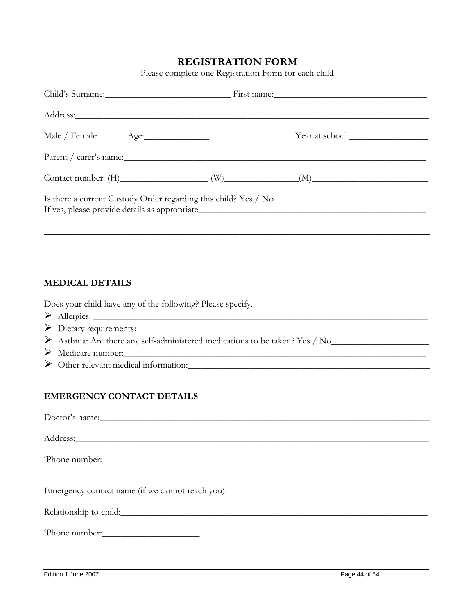# **REGISTRATION FORM**

Please complete one Registration Form for each child

|                                                                 | Child's Surname: First name: First name: |  |  |
|-----------------------------------------------------------------|------------------------------------------|--|--|
| Address: No. 1988.                                              |                                          |  |  |
| Male / Female Age: 1998                                         |                                          |  |  |
|                                                                 |                                          |  |  |
|                                                                 | Contact number: $(H)$ (W) (W) (M) (M)    |  |  |
| Is there a current Custody Order regarding this child? Yes / No |                                          |  |  |
|                                                                 |                                          |  |  |

# **MEDICAL DETAILS**

Does your child have any of the following? Please specify.

- Allergies: \_\_\_\_\_\_\_\_\_\_\_\_\_\_\_\_\_\_\_\_\_\_\_\_\_\_\_\_\_\_\_\_\_\_\_\_\_\_\_\_\_\_\_\_\_\_\_\_\_\_\_\_\_\_\_\_\_\_\_\_\_\_\_\_\_\_\_\_\_\_\_\_
- $\triangleright$  Dietary requirements:
- Asthma: Are there any self-administered medications to be taken? Yes / No\_\_\_\_\_\_\_\_\_\_\_\_\_\_\_\_\_\_\_\_\_
- $\triangleright$  Medicare number:
- > Other relevant medical information:

# **EMERGENCY CONTACT DETAILS**

| Doctor's name:         |
|------------------------|
|                        |
|                        |
|                        |
| Phone number:          |
|                        |
|                        |
|                        |
|                        |
| Relationship to child: |
|                        |
| 'Phone number:         |